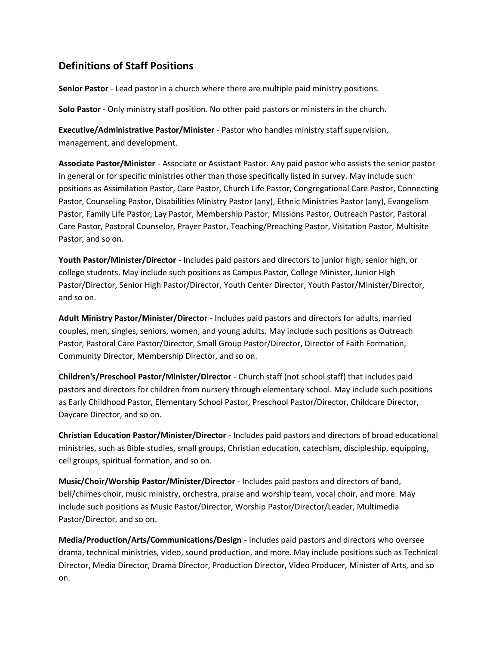## **Definitions of Staff Positions**

**Senior Pastor** - Lead pastor in a church where there are multiple paid ministry positions.

**Solo Pastor** - Only ministry staff position. No other paid pastors or ministers in the church.

**Executive/Administrative Pastor/Minister** - Pastor who handles ministry staff supervision, management, and development.

**Associate Pastor/Minister** - Associate or Assistant Pastor. Any paid pastor who assists the senior pastor in general or for specific ministries other than those specifically listed in survey. May include such positions as Assimilation Pastor, Care Pastor, Church Life Pastor, Congregational Care Pastor, Connecting Pastor, Counseling Pastor, Disabilities Ministry Pastor (any), Ethnic Ministries Pastor (any), Evangelism Pastor, Family Life Pastor, Lay Pastor, Membership Pastor, Missions Pastor, Outreach Pastor, Pastoral Care Pastor, Pastoral Counselor, Prayer Pastor, Teaching/Preaching Pastor, Visitation Pastor, Multisite Pastor, and so on.

**Youth Pastor/Minister/Director** - Includes paid pastors and directors to junior high, senior high, or college students. May include such positions as Campus Pastor, College Minister, Junior High Pastor/Director, Senior High Pastor/Director, Youth Center Director, Youth Pastor/Minister/Director, and so on.

**Adult Ministry Pastor/Minister/Director** - Includes paid pastors and directors for adults, married couples, men, singles, seniors, women, and young adults. May include such positions as Outreach Pastor, Pastoral Care Pastor/Director, Small Group Pastor/Director, Director of Faith Formation, Community Director, Membership Director, and so on.

**Children's/Preschool Pastor/Minister/Director** - Church staff (not school staff) that includes paid pastors and directors for children from nursery through elementary school. May include such positions as Early Childhood Pastor, Elementary School Pastor, Preschool Pastor/Director, Childcare Director, Daycare Director, and so on.

**Christian Education Pastor/Minister/Director** - Includes paid pastors and directors of broad educational ministries, such as Bible studies, small groups, Christian education, catechism, discipleship, equipping, cell groups, spiritual formation, and so on.

**Music/Choir/Worship Pastor/Minister/Director** - Includes paid pastors and directors of band, bell/chimes choir, music ministry, orchestra, praise and worship team, vocal choir, and more. May include such positions as Music Pastor/Director, Worship Pastor/Director/Leader, Multimedia Pastor/Director, and so on.

**Media/Production/Arts/Communications/Design** - Includes paid pastors and directors who oversee drama, technical ministries, video, sound production, and more. May include positions such as Technical Director, Media Director, Drama Director, Production Director, Video Producer, Minister of Arts, and so on.